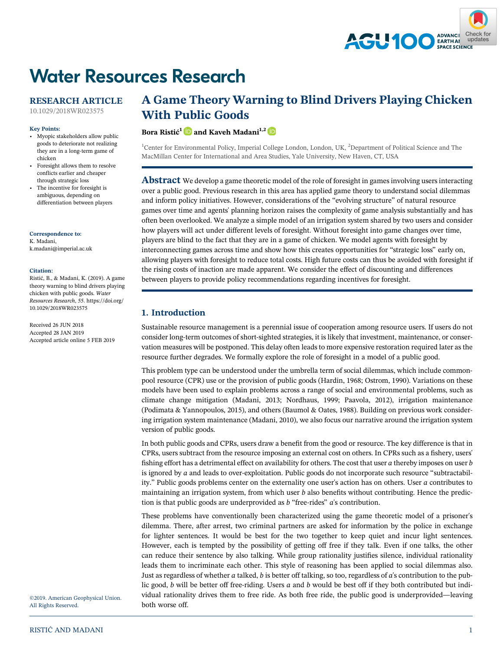

# **Water Resources Research**

# **RESEARCH ARTICLE**

[10.1029/2018WR023575](http://dx.doi.org/10.1029/2018WR023575)

#### **Key Points:**

- Myopic stakeholders allow public goods to deteriorate not realizing they are in a long‐term game of chicken
- Foresight allows them to resolve conflicts earlier and cheaper through strategic loss
- The incentive for foresight is ambiguous, depending on differentiation between players

**Correspondence to:** K. Madani, [k.madani@imperial.ac.uk](mailto:k.madani@imperial.ac.uk)

#### **Citation:**

Ristić, B., & Madani, K. (2019). A game theory warning to blind drivers playing chicken with public goods. *Water Resources Research*, *55*. [https://doi.org/](https://doi.org/10.1029/2018WR023575) [10.1029/2018WR023575](https://doi.org/10.1029/2018WR023575)

Received 26 JUN 2018 Accepted 28 JAN 2019 Accepted article online 5 FEB 2019

# **A Game Theory Warning to Blind Drivers Playing Chicken With Public Goods**

# **Bora Ristić<sup>1</sup> D** and Kaveh Madani<sup>1,2</sup> **D**

<sup>1</sup>Center for Environmental Policy, Imperial College London, London, UK, <sup>2</sup>Department of Political Science and The MacMillan Center for International and Area Studies, Yale University, New Haven, CT, USA

**Abstract** We develop a game theoretic model of the role of foresight in games involving users interacting over a public good. Previous research in this area has applied game theory to understand social dilemmas and inform policy initiatives. However, considerations of the "evolving structure" of natural resource games over time and agents' planning horizon raises the complexity of game analysis substantially and has often been overlooked. We analyze a simple model of an irrigation system shared by two users and consider how players will act under different levels of foresight. Without foresight into game changes over time, players are blind to the fact that they are in a game of chicken. We model agents with foresight by interconnecting games across time and show how this creates opportunities for "strategic loss" early on, allowing players with foresight to reduce total costs. High future costs can thus be avoided with foresight if the rising costs of inaction are made apparent. We consider the effect of discounting and differences between players to provide policy recommendations regarding incentives for foresight.

# **1. Introduction**

Sustainable resource management is a perennial issue of cooperation among resource users. If users do not consider long-term outcomes of short-sighted strategies, it is likely that investment, maintenance, or conservation measures will be postponed. This delay often leads to more expensive restoration required later as the resource further degrades. We formally explore the role of foresight in a model of a public good.

This problem type can be understood under the umbrella term of social dilemmas, which include commonpool resource (CPR) use or the provision of public goods (Hardin, 1968; Ostrom, 1990). Variations on these models have been used to explain problems across a range of social and environmental problems, such as climate change mitigation (Madani, 2013; Nordhaus, 1999; Paavola, 2012), irrigation maintenance (Podimata & Yannopoulos, 2015), and others (Baumol & Oates, 1988). Building on previous work considering irrigation system maintenance (Madani, 2010), we also focus our narrative around the irrigation system version of public goods.

In both public goods and CPRs, users draw a benefit from the good or resource. The key difference is that in CPRs, users subtract from the resource imposing an external cost on others. In CPRs such as a fishery, users' fishing effort has a detrimental effect on availability for others. The cost that user *a* thereby imposes on user *b* is ignored by *a* and leads to over-exploitation. Public goods do not incorporate such resource "subtractability." Public goods problems center on the externality one user's action has on others. User *a* contributes to maintaining an irrigation system, from which user *b* also benefits without contributing. Hence the prediction is that public goods are underprovided as *b* "free‐rides" *a*'s contribution.

These problems have conventionally been characterized using the game theoretic model of a prisoner's dilemma. There, after arrest, two criminal partners are asked for information by the police in exchange for lighter sentences. It would be best for the two together to keep quiet and incur light sentences. However, each is tempted by the possibility of getting off free if they talk. Even if one talks, the other can reduce their sentence by also talking. While group rationality justifies silence, individual rationality leads them to incriminate each other. This style of reasoning has been applied to social dilemmas also. Just as regardless of whether *a* talked, *b* is better off talking, so too, regardless of *a*'s contribution to the public good, *b* will be better off free-riding. Users  $a$  and  $b$  would be best off if they both contributed but individual rationality drives them to free ride. As both free ride, the public good is underprovided—leaving both worse off.

©2019. American Geophysical Union. All Rights Reserved.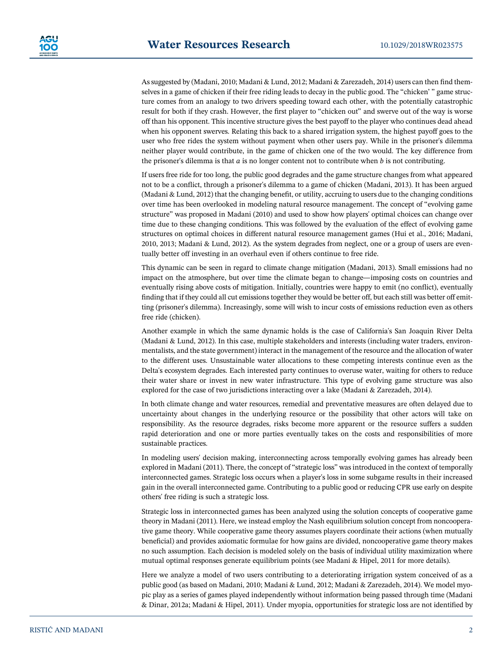As suggested by (Madani, 2010; Madani & Lund, 2012; Madani & Zarezadeh, 2014) users can then find themselves in a game of chicken if their free riding leads to decay in the public good. The "chicken' " game structure comes from an analogy to two drivers speeding toward each other, with the potentially catastrophic result for both if they crash. However, the first player to "chicken out" and swerve out of the way is worse off than his opponent. This incentive structure gives the best payoff to the player who continues dead ahead when his opponent swerves. Relating this back to a shared irrigation system, the highest payoff goes to the user who free rides the system without payment when other users pay. While in the prisoner's dilemma neither player would contribute, in the game of chicken one of the two would. The key difference from the prisoner's dilemma is that  $a$  is no longer content not to contribute when  $b$  is not contributing.

If users free ride for too long, the public good degrades and the game structure changes from what appeared not to be a conflict, through a prisoner's dilemma to a game of chicken (Madani, 2013). It has been argued (Madani & Lund, 2012) that the changing benefit, or utility, accruing to users due to the changing conditions over time has been overlooked in modeling natural resource management. The concept of "evolving game structure" was proposed in Madani (2010) and used to show how players' optimal choices can change over time due to these changing conditions. This was followed by the evaluation of the effect of evolving game structures on optimal choices in different natural resource management games (Hui et al., 2016; Madani, 2010, 2013; Madani & Lund, 2012). As the system degrades from neglect, one or a group of users are eventually better off investing in an overhaul even if others continue to free ride.

This dynamic can be seen in regard to climate change mitigation (Madani, 2013). Small emissions had no impact on the atmosphere, but over time the climate began to change—imposing costs on countries and eventually rising above costs of mitigation. Initially, countries were happy to emit (no conflict), eventually finding that if they could all cut emissions together they would be better off, but each still was better off emitting (prisoner's dilemma). Increasingly, some will wish to incur costs of emissions reduction even as others free ride (chicken).

Another example in which the same dynamic holds is the case of California's San Joaquin River Delta (Madani & Lund, 2012). In this case, multiple stakeholders and interests (including water traders, environmentalists, and the state government) interact in the management of the resource and the allocation of water to the different uses. Unsustainable water allocations to these competing interests continue even as the Delta's ecosystem degrades. Each interested party continues to overuse water, waiting for others to reduce their water share or invest in new water infrastructure. This type of evolving game structure was also explored for the case of two jurisdictions interacting over a lake (Madani & Zarezadeh, 2014).

In both climate change and water resources, remedial and preventative measures are often delayed due to uncertainty about changes in the underlying resource or the possibility that other actors will take on responsibility. As the resource degrades, risks become more apparent or the resource suffers a sudden rapid deterioration and one or more parties eventually takes on the costs and responsibilities of more sustainable practices.

In modeling users' decision making, interconnecting across temporally evolving games has already been explored in Madani (2011). There, the concept of "strategic loss" was introduced in the context of temporally interconnected games. Strategic loss occurs when a player's loss in some subgame results in their increased gain in the overall interconnected game. Contributing to a public good or reducing CPR use early on despite others' free riding is such a strategic loss.

Strategic loss in interconnected games has been analyzed using the solution concepts of cooperative game theory in Madani (2011). Here, we instead employ the Nash equilibrium solution concept from noncooperative game theory. While cooperative game theory assumes players coordinate their actions (when mutually beneficial) and provides axiomatic formulae for how gains are divided, noncooperative game theory makes no such assumption. Each decision is modeled solely on the basis of individual utility maximization where mutual optimal responses generate equilibrium points (see Madani & Hipel, 2011 for more details).

Here we analyze a model of two users contributing to a deteriorating irrigation system conceived of as a public good (as based on Madani, 2010; Madani & Lund, 2012; Madani & Zarezadeh, 2014). We model myopic play as a series of games played independently without information being passed through time (Madani & Dinar, 2012a; Madani & Hipel, 2011). Under myopia, opportunities for strategic loss are not identified by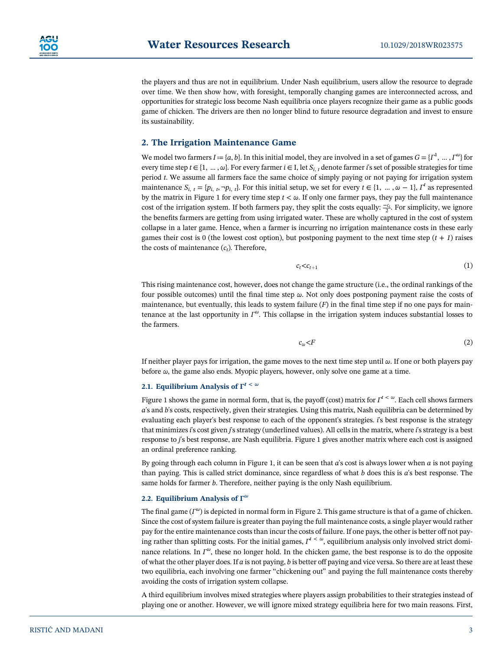

the players and thus are not in equilibrium. Under Nash equilibrium, users allow the resource to degrade over time. We then show how, with foresight, temporally changing games are interconnected across, and opportunities for strategic loss become Nash equilibria once players recognize their game as a public goods game of chicken. The drivers are then no longer blind to future resource degradation and invest to ensure its sustainability.

## **2. The Irrigation Maintenance Game**

We model two farmers  $I := \{a,b\}$ . In this initial model, they are involved in a set of games  $G = \{\Gamma^1,\ \dots,\Gamma^\omega\}$  for every time step *t* ∈ {1, … , *ω*}. For every farmer *i* ∈ I, let *Si*, *<sup>t</sup>* denote farmer *i*'s set of possible strategies for time period *t*. We assume all farmers face the same choice of simply paying or not paying for irrigation system maintenance  $S_{i, t} = \{p_{i, t}, \neg p_{i, t}\}\$ . For this initial setup, we set for every  $t \in \{1, ..., \omega - 1\}$ ,  $\Gamma^t$  as represented by the matrix in Figure 1 for every time step *t* < *ω*. If only one farmer pays, they pay the full maintenance cost of the irrigation system. If both farmers pay, they split the costs equally:  $\frac{-c_t}{2}$ . For simplicity, we ignore the benefits farmers are getting from using irrigated water. These are wholly captured in the cost of system collapse in a later game. Hence, when a farmer is incurring no irrigation maintenance costs in these early games their cost is 0 (the lowest cost option), but postponing payment to the next time step  $(t + 1)$  raises the costs of maintenance  $(c_t)$ . Therefore,

$$
c_t < c_{t+1} \tag{1}
$$

This rising maintenance cost, however, does not change the game structure (i.e., the ordinal rankings of the four possible outcomes) until the final time step *ω*. Not only does postponing payment raise the costs of maintenance, but eventually, this leads to system failure  $(F)$  in the final time step if no one pays for maintenance at the last opportunity in *Γω* . This collapse in the irrigation system induces substantial losses to the farmers.

$$
c_{\omega} \langle F \rangle \tag{2}
$$

If neither player pays for irrigation, the game moves to the next time step until *ω*. If one or both players pay before *ω*, the game also ends. Myopic players, however, only solve one game at a time.

#### **2.1. Equilibrium Analysis of**  $\Gamma^{t < \omega}$

Figure 1 shows the game in normal form, that is, the payoff (cost) matrix for *Γ<sup>t</sup>* <sup>&</sup>lt; *<sup>ω</sup>* . Each cell shows farmers *a*'s and *b*'s costs, respectively, given their strategies. Using this matrix, Nash equilibria can be determined by evaluating each player's best response to each of the opponent's strategies. *i*'s best response is the strategy that minimizes *i*'s cost given *j*'s strategy (underlined values). All cells in the matrix, where *i*'s strategy is a best response to *j*'s best response, are Nash equilibria. Figure 1 gives another matrix where each cost is assigned an ordinal preference ranking.

By going through each column in Figure 1, it can be seen that *a*'s cost is always lower when *a* is not paying than paying. This is called strict dominance, since regardless of what *b* does this is *a*'s best response. The same holds for farmer *b*. Therefore, neither paying is the only Nash equilibrium.

# **2.2. Equilibrium Analysis of Γ***<sup>ω</sup>*

The final game (*Γω* ) is depicted in normal form in Figure 2. This game structure is that of a game of chicken. Since the cost of system failure is greater than paying the full maintenance costs, a single player would rather pay for the entire maintenance costs than incur the costs of failure. If one pays, the other is better off not paying rather than splitting costs. For the initial games, *Γ<sup>t</sup>* <sup>&</sup>lt; *<sup>ω</sup>* , equilibrium analysis only involved strict dominance relations. In  $I^{\omega}$ , these no longer hold. In the chicken game, the best response is to do the opposite of what the other player does. If *a* is not paying, *b* is better off paying and vice versa. So there are at least these two equilibria, each involving one farmer "chickening out" and paying the full maintenance costs thereby avoiding the costs of irrigation system collapse.

A third equilibrium involves mixed strategies where players assign probabilities to their strategies instead of playing one or another. However, we will ignore mixed strategy equilibria here for two main reasons. First,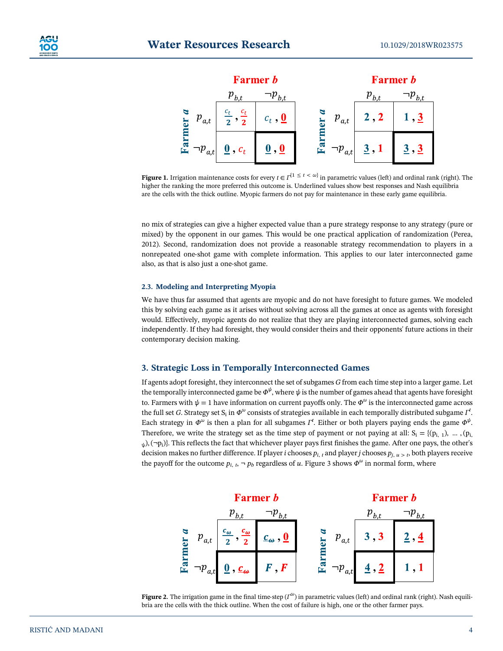

**Figure 1.** Irrigation maintenance costs for every *<sup>t</sup>* <sup>∈</sup> *<sup>Γ</sup>*{1 <sup>≤</sup> *<sup>t</sup>* <sup>&</sup>lt; *<sup>ω</sup>*} in parametric values (left) and ordinal rank (right). The higher the ranking the more preferred this outcome is. Underlined values show best responses and Nash equilibria are the cells with the thick outline. Myopic farmers do not pay for maintenance in these early game equilibria.

no mix of strategies can give a higher expected value than a pure strategy response to any strategy (pure or mixed) by the opponent in our games. This would be one practical application of randomization (Perea, 2012). Second, randomization does not provide a reasonable strategy recommendation to players in a nonrepeated one‐shot game with complete information. This applies to our later interconnected game also, as that is also just a one‐shot game.

## **2.3. Modeling and Interpreting Myopia**

We have thus far assumed that agents are myopic and do not have foresight to future games. We modeled this by solving each game as it arises without solving across all the games at once as agents with foresight would. Effectively, myopic agents do not realize that they are playing interconnected games, solving each independently. If they had foresight, they would consider theirs and their opponents' future actions in their contemporary decision making.

# **3. Strategic Loss in Temporally Interconnected Games**

If agents adopt foresight, they interconnect the set of subgames *G* from each time step into a larger game. Let the temporally interconnected game be *Φ<sup>ψ</sup>* , where *ψ* is the number of games ahead that agents have foresight to. Farmers with  $\psi = 1$  have information on current payoffs only. The  $\Phi^{\omega}$  is the interconnected game across the full set *G*. Strategy set S<sub>i</sub> in  $\Phi^\omega$  consists of strategies available in each temporally distributed subgame Γ<sup>t</sup>. Each strategy in *Φ<sup>ω</sup>* is then a plan for all subgames *Γ<sup>t</sup>* . Either or both players paying ends the game *Φ<sup>ψ</sup>* . Therefore, we write the strategy set as the time step of payment or not paying at all:  $S_i = \{ (p_{i, 1}), ..., (p_{i, n}) \}$  $_{\psi}$ ), (¬p<sub>i</sub>)}. This reflects the fact that whichever player pays first finishes the game. After one pays, the other's decision makes no further difference. If player *i* chooses  $p_{i, t}$  and player *j* chooses  $p_{j, u > t}$ , both players receive the payoff for the outcome  $p_{i,t}$ ,  $\neg p_b$  regardless of *u*. Figure 3 shows  $\Phi^{\omega}$  in normal form, where



**Figure 2.** The irrigation game in the final time-step (*Γ<sup>ω</sup>*) in parametric values (left) and ordinal rank (right). Nash equilibria are the cells with the thick outline. When the cost of failure is high, one or the other farmer pays.

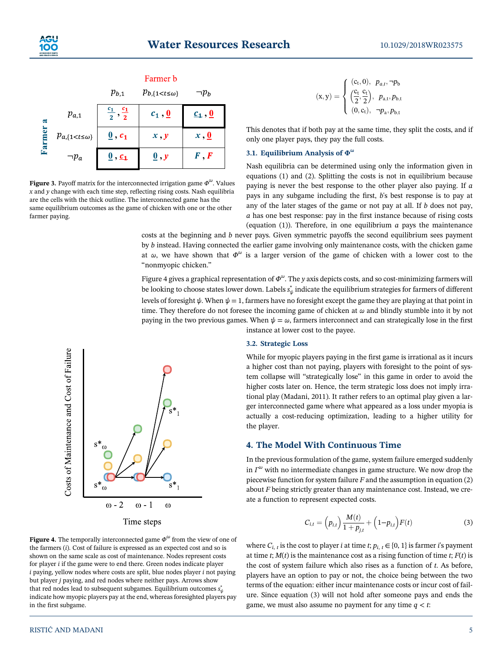

**Figure 3.** Payoff matrix for the interconnected irrigation game *Φω* . Values *x* and *y* change with each time step, reflecting rising costs. Nash equilibria are the cells with the thick outline. The interconnected game has the same equilibrium outcomes as the game of chicken with one or the other farmer paying.

$$
({\bf x},{\bf y})=\left\{ \begin{array}{ll} ({\bf c}_{{\rm t}},0),\;\;p_{a,{\rm t}},\neg p_{\rm b}\\ \left(\frac{{\bf c}_{{\rm t}}}{2},\frac{{\bf c}_{{\rm t}}}{2}\right),\;\;p_{a,{\rm t}},p_{b,{\rm t}}\\ ({\bf 0},{\bf c}_{{\rm t}}),\;\; \neg p_{a},p_{b,{\rm t}} \end{array} \right.
$$

This denotes that if both pay at the same time, they split the costs, and if only one player pays, they pay the full costs.

#### **3.1. Equilibrium Analysis of Φω**

Nash equilibria can be determined using only the information given in equations (1) and (2). Splitting the costs is not in equilibrium because paying is never the best response to the other player also paying. If *a* pays in any subgame including the first, *b*'s best response is to pay at any of the later stages of the game or not pay at all. If *b* does not pay, *a* has one best response: pay in the first instance because of rising costs (equation (1)). Therefore, in one equilibrium *a* pays the maintenance

costs at the beginning and *b* never pays. Given symmetric payoffs the second equilibrium sees payment by *b* instead. Having connected the earlier game involving only maintenance costs, with the chicken game at *ω*, we have shown that *Φ<sup>ω</sup>* is a larger version of the game of chicken with a lower cost to the "nonmyopic chicken."

Figure 4 gives a graphical representation of *Φ<sup>ω</sup>* . The *y* axis depicts costs, and so cost‐minimizing farmers will be looking to choose states lower down. Labels *s*\* *<sup>ψ</sup>* indicate the equilibrium strategies for farmers of different levels of foresight  $\psi$ . When  $\psi = 1$ , farmers have no foresight except the game they are playing at that point in time. They therefore do not foresee the incoming game of chicken at *ω* and blindly stumble into it by not paying in the two previous games. When  $\psi = \omega$ , farmers interconnect and can strategically lose in the first instance at lower cost to the payee.



**Figure 4.** The temporally interconnected game *Φω* from the view of one of the farmers (*i*). Cost of failure is expressed as an expected cost and so is shown on the same scale as cost of maintenance. Nodes represent costs for player *i* if the game were to end there. Green nodes indicate player *i* paying, yellow nodes where costs are split, blue nodes player *i* not paying but player *j* paying, and red nodes where neither pays. Arrows show that red nodes lead to subsequent subgames. Equilibrium outcomes *s* \* *ψ* indicate how myopic players pay at the end, whereas foresighted players pay in the first subgame.

#### **3.2. Strategic Loss**

While for myopic players paying in the first game is irrational as it incurs a higher cost than not paying, players with foresight to the point of system collapse will "strategically lose" in this game in order to avoid the higher costs later on. Hence, the term strategic loss does not imply irrational play (Madani, 2011). It rather refers to an optimal play given a larger interconnected game where what appeared as a loss under myopia is actually a cost‐reducing optimization, leading to a higher utility for the player.

# **4. The Model With Continuous Time**

In the previous formulation of the game, system failure emerged suddenly in *Γω* with no intermediate changes in game structure. We now drop the piecewise function for system failure *F* and the assumption in equation (2) about *F* being strictly greater than any maintenance cost. Instead, we create a function to represent expected costs.

$$
C_{i,t} = (p_{i,t}) \frac{M(t)}{1 + p_{j,t}} + (1 - p_{i,t}) F(t)
$$
\n(3)

where  $C_{i, t}$  is the cost to player *i* at time *t*;  $p_{i, t} \in \{0, 1\}$  is farmer *i*'s payment at time  $t$ ;  $M(t)$  is the maintenance cost as a rising function of time  $t$ ;  $F(t)$  is the cost of system failure which also rises as a function of *t*. As before, players have an option to pay or not, the choice being between the two terms of the equation: either incur maintenance costs or incur cost of failure. Since equation (3) will not hold after someone pays and ends the game, we must also assume no payment for any time *q* < *t*: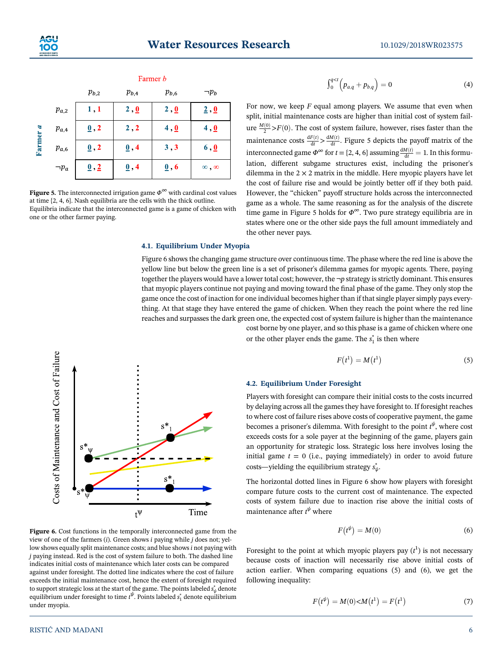|          |            | $r$ armer $\nu$                                   |                             |           |                     |
|----------|------------|---------------------------------------------------|-----------------------------|-----------|---------------------|
|          |            | $p_{b,2}$                                         | $p_{b,4}$                   | $p_{b,6}$ | $\neg p_b$          |
| Farmer a | $p_{a,2}$  | 1,1                                               | 2, 0                        | 2, 0      | 2, 0                |
|          | $p_{a,4}$  | $\overline{0}$ , 2                                | 2, 2                        | 4, 0      | 4, 0                |
|          | $p_{a,6}$  | $\overline{\mathbf{0}}$ , 2                       | $\overline{\mathbf{0}}$ , 4 | 3, 3      | 6, 0                |
|          | $\neg p_a$ | $\overline{\mathbf{0}}$ , $\overline{\mathbf{2}}$ | $\overline{\mathbf{0}}$ , 4 | 0, 6      | $\infty$ , $\infty$ |

**Figure 5.** The interconnected irrigation game *<sup>Φ</sup>*<sup>∞</sup> with cardinal cost values at time {2, 4, 6}. Nash equilibria are the cells with the thick outline. Equilibria indicate that the interconnected game is a game of chicken with one or the other farmer paying.

$$
\int_0^{q
$$

For now, we keep *F* equal among players. We assume that even when split, initial maintenance costs are higher than initial cost of system failure  $\frac{M(0)}{2}$  >*F*(0). The cost of system failure, however, rises faster than the maintenance costs  $\frac{dF(t)}{dt} > \frac{dM(t)}{dt}$ . Figure 5 depicts the payoff matrix of the interconnected game  $\Phi^{\infty}$  for  $t = \{2, 4, 6\}$  assuming  $\frac{dM(t)}{dt} = 1$ . In this formulation, different subgame structures exist, including the prisoner's dilemma in the  $2 \times 2$  matrix in the middle. Here myopic players have let the cost of failure rise and would be jointly better off if they both paid. However, the "chicken" payoff structure holds across the interconnected game as a whole. The same reasoning as for the analysis of the discrete time game in Figure 5 holds for *Φ*∞. Two pure strategy equilibria are in states where one or the other side pays the full amount immediately and the other never pays.

# **4.1. Equilibrium Under Myopia**

Figure 6 shows the changing game structure over continuous time. The phase where the red line is above the yellow line but below the green line is a set of prisoner's dilemma games for myopic agents. There, paying together the players would have a lower total cost; however, the ¬*p* strategy is strictly dominant. This ensures that myopic players continue not paying and moving toward the final phase of the game. They only stop the game once the cost of inaction for one individual becomes higher than if that single player simply pays everything. At that stage they have entered the game of chicken. When they reach the point where the red line reaches and surpasses the dark green one, the expected cost of system failure is higher than the maintenance

cost borne by one player, and so this phase is a game of chicken where one or the other player ends the game. The  $s_1^*$  is then where



# **4.2. Equilibrium Under Foresight**

Players with foresight can compare their initial costs to the costs incurred by delaying across all the games they have foresight to. If foresight reaches to where cost of failure rises above costs of cooperative payment, the game becomes a prisoner's dilemma. With foresight to the point *t ψ* , where cost exceeds costs for a sole payer at the beginning of the game, players gain an opportunity for strategic loss. Strategic loss here involves losing the initial game  $t = 0$  (i.e., paying immediately) in order to avoid future costs—yielding the equilibrium strategy *s*\* *ψ*.

The horizontal dotted lines in Figure 6 show how players with foresight compare future costs to the current cost of maintenance. The expected costs of system failure due to inaction rise above the initial costs of maintenance after *t <sup>ψ</sup>* where

$$
F(t^{\psi}) = M(0) \tag{6}
$$

Foresight to the point at which myopic players pay  $(t<sup>1</sup>)$  is not necessary because costs of inaction will necessarily rise above initial costs of action earlier. When comparing equations (5) and (6), we get the following inequality:

$$
F(t^{\psi}) = M(0) < M(t^1) = F(t^1)
$$
\n(7)



Figure 6. Cost functions in the temporally interconnected game from the view of one of the farmers (*i*). Green shows *i* paying while *j* does not; yellow shows equally split maintenance costs; and blue shows *i* not paying with *j* paying instead. Red is the cost of system failure to both. The dashed line indicates initial costs of maintenance which later costs can be compared against under foresight. The dotted line indicates where the cost of failure exceeds the initial maintenance cost, hence the extent of foresight required to support strategic loss at the start of the game. The points labeled  $s^*_{\psi}$  denote equilibrium under foresight to time *t ψ* . Points labeled *s*\* <sup>1</sup> denote equilibrium under myopia.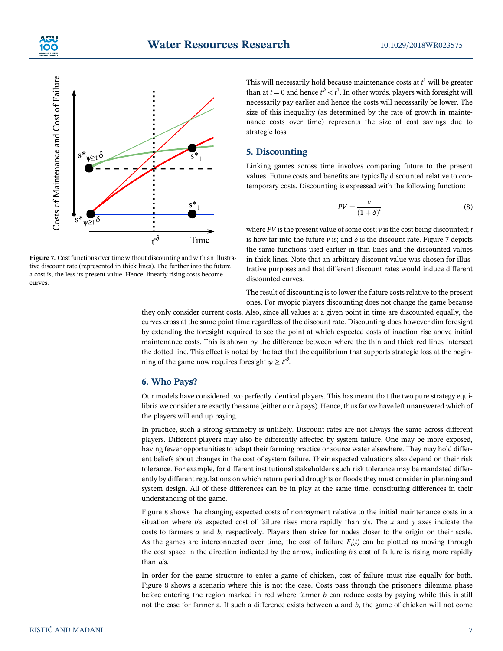**100** 



This will necessarily hold because maintenance costs at *t* <sup>1</sup> will be greater than at  $t = 0$  and hence  $t^{\psi} < t^1$ . In other words, players with foresight will necessarily pay earlier and hence the costs will necessarily be lower. The size of this inequality (as determined by the rate of growth in maintenance costs over time) represents the size of cost savings due to strategic loss.

# **5. Discounting**

Linking games across time involves comparing future to the present values. Future costs and benefits are typically discounted relative to contemporary costs. Discounting is expressed with the following function:

$$
PV = \frac{v}{\left(1+\delta\right)^t} \tag{8}
$$

where *PV* is the present value of some cost; *v* is the cost being discounted; *t* is how far into the future  $\nu$  is; and  $\delta$  is the discount rate. Figure 7 depicts the same functions used earlier in thin lines and the discounted values in thick lines. Note that an arbitrary discount value was chosen for illustrative purposes and that different discount rates would induce different discounted curves.

The result of discounting is to lower the future costs relative to the present ones. For myopic players discounting does not change the game because

they only consider current costs. Also, since all values at a given point in time are discounted equally, the curves cross at the same point time regardless of the discount rate. Discounting does however dim foresight by extending the foresight required to see the point at which expected costs of inaction rise above initial maintenance costs. This is shown by the difference between where the thin and thick red lines intersect the dotted line. This effect is noted by the fact that the equilibrium that supports strategic loss at the beginning of the game now requires foresight  $\psi \geq t'^{\delta}$ .

#### **6. Who Pays?**

Our models have considered two perfectly identical players. This has meant that the two pure strategy equilibria we consider are exactly the same (either *a* or *b* pays). Hence, thus far we have left unanswered which of the players will end up paying.

In practice, such a strong symmetry is unlikely. Discount rates are not always the same across different players. Different players may also be differently affected by system failure. One may be more exposed, having fewer opportunities to adapt their farming practice or source water elsewhere. They may hold different beliefs about changes in the cost of system failure. Their expected valuations also depend on their risk tolerance. For example, for different institutional stakeholders such risk tolerance may be mandated differently by different regulations on which return period droughts or floods they must consider in planning and system design. All of these differences can be in play at the same time, constituting differences in their understanding of the game.

Figure 8 shows the changing expected costs of nonpayment relative to the initial maintenance costs in a situation where *b*'s expected cost of failure rises more rapidly than *a*'s. The *x* and *y* axes indicate the costs to farmers *a* and *b*, respectively. Players then strive for nodes closer to the origin on their scale. As the games are interconnected over time, the cost of failure  $F_i(t)$  can be plotted as moving through the cost space in the direction indicated by the arrow, indicating *b*'s cost of failure is rising more rapidly than *a*'s.

In order for the game structure to enter a game of chicken, cost of failure must rise equally for both. Figure 8 shows a scenario where this is not the case. Costs pass through the prisoner's dilemma phase before entering the region marked in red where farmer *b* can reduce costs by paying while this is still not the case for farmer a. If such a difference exists between *a* and *b*, the game of chicken will not come

Figure 7. Cost functions over time without discounting and with an illustrative discount rate (represented in thick lines). The further into the future a cost is, the less its present value. Hence, linearly rising costs become curves.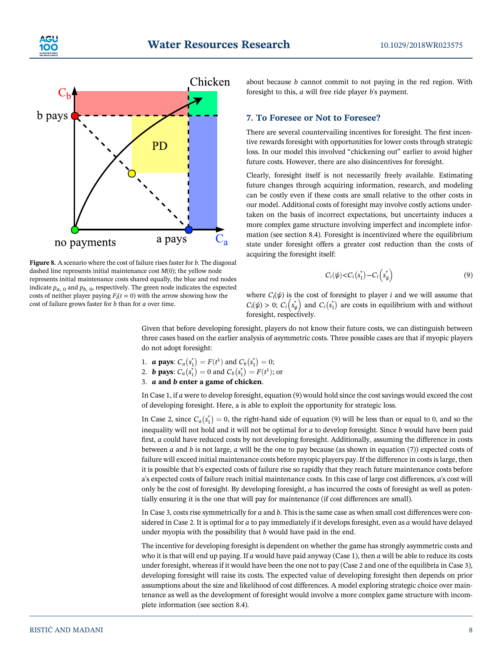

**Figure 8.** A scenario where the cost of failure rises faster for *b*. The diagonal dashed line represents initial maintenance cost *M*(0); the yellow node represents initial maintenance costs shared equally, the blue and red nodes indicate  $p_{a}$ ,  $_0$  and  $p_{b}$ ,  $_0$ , respectively. The green node indicates the expected costs of neither player paying  $F_i(t = 0)$  with the arrow showing how the cost of failure grows faster for *b* than for *a* over time.

about because *b* cannot commit to not paying in the red region. With foresight to this, *a* will free ride player *b*'s payment.

# **7. To Foresee or Not to Foresee?**

There are several countervailing incentives for foresight. The first incentive rewards foresight with opportunities for lower costs through strategic loss. In our model this involved "chickening out" earlier to avoid higher future costs. However, there are also disincentives for foresight.

Clearly, foresight itself is not necessarily freely available. Estimating future changes through acquiring information, research, and modeling can be costly even if these costs are small relative to the other costs in our model. Additional costs of foresight may involve costly actions undertaken on the basis of incorrect expectations, but uncertainty induces a more complex game structure involving imperfect and incomplete information (see section 8.4). Foresight is incentivized where the equilibrium state under foresight offers a greater cost reduction than the costs of acquiring the foresight itself:

$$
C_i(\psi) < C_i(s_1^*) - C_i(s_\psi^*)
$$
\n(9)

where  $C_i(\psi)$  is the cost of foresight to player *i* and we will assume that  $C_i(\psi) > 0$ ;  $C_i(s^*_{\psi})$  and  $C_i(s^*_{1})$  are costs in equilibrium with and without foresight, respectively.

Given that before developing foresight, players do not know their future costs, we can distinguish between three cases based on the earlier analysis of asymmetric costs. Three possible cases are that if myopic players do not adopt foresight:

- 1. *a* **pays:**  $C_a(s_1^*) = F(t^1)$  and  $C_b(s_1^*) = 0$ ;
- 2. *b* **pays:**  $C_a(s_1^*) = 0$  and  $C_b(s_1^*) = F(t^1)$ ; or
- 3. *a* **and** *b* **enter a game of chicken**.

In Case 1, if *a* were to develop foresight, equation (9) would hold since the cost savings would exceed the cost of developing foresight. Here, a is able to exploit the opportunity for strategic loss.

In Case 2, since  $C_a(s_1^*)=0$ , the right-hand side of equation (9) will be less than or equal to 0, and so the inequality will not hold and it will not be optimal for *a* to develop foresight. Since *b* would have been paid first, *a* could have reduced costs by not developing foresight. Additionally, assuming the difference in costs between *a* and *b* is not large, *a* will be the one to pay because (as shown in equation (7)) expected costs of failure will exceed initial maintenance costs before myopic players pay. If the difference in costs is large, then it is possible that b's expected costs of failure rise so rapidly that they reach future maintenance costs before a's expected costs of failure reach initial maintenance costs. In this case of large cost differences, *a*'s cost will only be the cost of foresight. By developing foresight, *a* has incurred the costs of foresight as well as potentially ensuring it is the one that will pay for maintenance (if cost differences are small).

In Case 3, costs rise symmetrically for *a* and *b*. This is the same case as when small cost differences were considered in Case 2. It is optimal for *a* to pay immediately if it develops foresight, even as *a* would have delayed under myopia with the possibility that *b* would have paid in the end.

The incentive for developing foresight is dependent on whether the game has strongly asymmetric costs and who it is that will end up paying. If *a* would have paid anyway (Case 1), then *a* will be able to reduce its costs under foresight, whereas if it would have been the one not to pay (Case 2 and one of the equilibria in Case 3), developing foresight will raise its costs. The expected value of developing foresight then depends on prior assumptions about the size and likelihood of cost differences. A model exploring strategic choice over maintenance as well as the development of foresight would involve a more complex game structure with incomplete information (see section 8.4).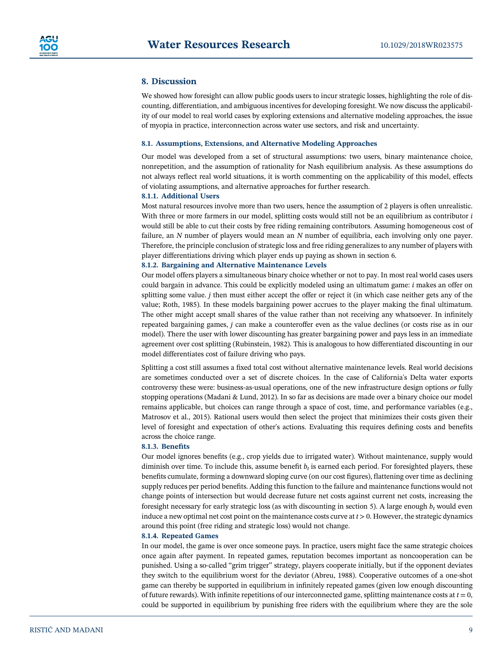

# **8. Discussion**

We showed how foresight can allow public goods users to incur strategic losses, highlighting the role of discounting, differentiation, and ambiguous incentives for developing foresight. We now discuss the applicability of our model to real world cases by exploring extensions and alternative modeling approaches, the issue of myopia in practice, interconnection across water use sectors, and risk and uncertainty.

#### **8.1. Assumptions, Extensions, and Alternative Modeling Approaches**

Our model was developed from a set of structural assumptions: two users, binary maintenance choice, nonrepetition, and the assumption of rationality for Nash equilibrium analysis. As these assumptions do not always reflect real world situations, it is worth commenting on the applicability of this model, effects of violating assumptions, and alternative approaches for further research.

#### **8.1.1. Additional Users**

Most natural resources involve more than two users, hence the assumption of 2 players is often unrealistic. With three or more farmers in our model, splitting costs would still not be an equilibrium as contributor *i* would still be able to cut their costs by free riding remaining contributors. Assuming homogeneous cost of failure, an *N* number of players would mean an *N* number of equilibria, each involving only one payer. Therefore, the principle conclusion of strategic loss and free riding generalizes to any number of players with player differentiations driving which player ends up paying as shown in section 6.

#### **8.1.2. Bargaining and Alternative Maintenance Levels**

Our model offers players a simultaneous binary choice whether or not to pay. In most real world cases users could bargain in advance. This could be explicitly modeled using an ultimatum game: *i* makes an offer on splitting some value. *j* then must either accept the offer or reject it (in which case neither gets any of the value; Roth, 1985). In these models bargaining power accrues to the player making the final ultimatum. The other might accept small shares of the value rather than not receiving any whatsoever. In infinitely repeated bargaining games, *j* can make a counteroffer even as the value declines (or costs rise as in our model). There the user with lower discounting has greater bargaining power and pays less in an immediate agreement over cost splitting (Rubinstein, 1982). This is analogous to how differentiated discounting in our model differentiates cost of failure driving who pays.

Splitting a cost still assumes a fixed total cost without alternative maintenance levels. Real world decisions are sometimes conducted over a set of discrete choices. In the case of California's Delta water exports controversy these were: business‐as‐usual operations, one of the new infrastructure design options *or* fully stopping operations (Madani & Lund, 2012). In so far as decisions are made over a binary choice our model remains applicable, but choices can range through a space of cost, time, and performance variables (e.g., Matrosov et al., 2015). Rational users would then select the project that minimizes their costs given their level of foresight and expectation of other's actions. Evaluating this requires defining costs and benefits across the choice range.

#### **8.1.3. Benefits**

Our model ignores benefits (e.g., crop yields due to irrigated water). Without maintenance, supply would diminish over time. To include this, assume benefit  $b_t$  is earned each period. For foresighted players, these benefits cumulate, forming a downward sloping curve (on our cost figures), flattening over time as declining supply reduces per period benefits. Adding this function to the failure and maintenance functions would not change points of intersection but would decrease future net costs against current net costs, increasing the foresight necessary for early strategic loss (as with discounting in section 5). A large enough  $b_t$  would even induce a new optimal net cost point on the maintenance costs curve at *t* > 0. However, the strategic dynamics around this point (free riding and strategic loss) would not change.

#### **8.1.4. Repeated Games**

In our model, the game is over once someone pays. In practice, users might face the same strategic choices once again after payment. In repeated games, reputation becomes important as noncooperation can be punished. Using a so‐called "grim trigger" strategy, players cooperate initially, but if the opponent deviates they switch to the equilibrium worst for the deviator (Abreu, 1988). Cooperative outcomes of a one‐shot game can thereby be supported in equilibrium in infinitely repeated games (given low enough discounting of future rewards). With infinite repetitions of our interconnected game, splitting maintenance costs at  $t = 0$ , could be supported in equilibrium by punishing free riders with the equilibrium where they are the sole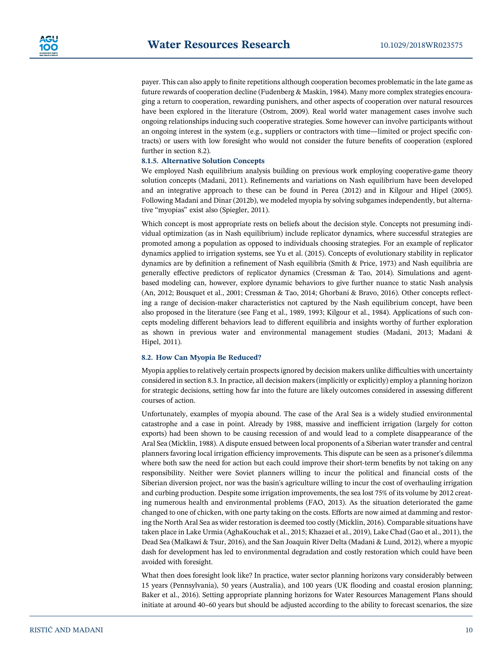payer. This can also apply to finite repetitions although cooperation becomes problematic in the late game as future rewards of cooperation decline (Fudenberg & Maskin, 1984). Many more complex strategies encouraging a return to cooperation, rewarding punishers, and other aspects of cooperation over natural resources have been explored in the literature (Ostrom, 2009). Real world water management cases involve such ongoing relationships inducing such cooperative strategies. Some however can involve participants without an ongoing interest in the system (e.g., suppliers or contractors with time—limited or project specific contracts) or users with low foresight who would not consider the future benefits of cooperation (explored further in section 8.2).

#### **8.1.5. Alternative Solution Concepts**

We employed Nash equilibrium analysis building on previous work employing cooperative-game theory solution concepts (Madani, 2011). Refinements and variations on Nash equilibrium have been developed and an integrative approach to these can be found in Perea (2012) and in Kilgour and Hipel (2005). Following Madani and Dinar (2012b), we modeled myopia by solving subgames independently, but alternative "myopias" exist also (Spiegler, 2011).

Which concept is most appropriate rests on beliefs about the decision style. Concepts not presuming individual optimization (as in Nash equilibrium) include replicator dynamics, where successful strategies are promoted among a population as opposed to individuals choosing strategies. For an example of replicator dynamics applied to irrigation systems, see Yu et al. (2015). Concepts of evolutionary stability in replicator dynamics are by definition a refinement of Nash equilibria (Smith & Price, 1973) and Nash equilibria are generally effective predictors of replicator dynamics (Cressman & Tao, 2014). Simulations and agentbased modeling can, however, explore dynamic behaviors to give further nuance to static Nash analysis (An, 2012; Bousquet et al., 2001; Cressman & Tao, 2014; Ghorbani & Bravo, 2016). Other concepts reflecting a range of decision-maker characteristics not captured by the Nash equilibrium concept, have been also proposed in the literature (see Fang et al., 1989, 1993; Kilgour et al., 1984). Applications of such concepts modeling different behaviors lead to different equilibria and insights worthy of further exploration as shown in previous water and environmental management studies (Madani, 2013; Madani & Hipel, 2011).

#### **8.2. How Can Myopia Be Reduced?**

Myopia applies to relatively certain prospects ignored by decision makers unlike difficulties with uncertainty considered in section 8.3. In practice, all decision makers (implicitly or explicitly) employ a planning horizon for strategic decisions, setting how far into the future are likely outcomes considered in assessing different courses of action.

Unfortunately, examples of myopia abound. The case of the Aral Sea is a widely studied environmental catastrophe and a case in point. Already by 1988, massive and inefficient irrigation (largely for cotton exports) had been shown to be causing recession of and would lead to a complete disappearance of the Aral Sea (Micklin, 1988). A dispute ensued between local proponents of a Siberian water transfer and central planners favoring local irrigation efficiency improvements. This dispute can be seen as a prisoner's dilemma where both saw the need for action but each could improve their short-term benefits by not taking on any responsibility. Neither were Soviet planners willing to incur the political and financial costs of the Siberian diversion project, nor was the basin's agriculture willing to incur the cost of overhauling irrigation and curbing production. Despite some irrigation improvements, the sea lost 75% of its volume by 2012 creating numerous health and environmental problems (FAO, 2013). As the situation deteriorated the game changed to one of chicken, with one party taking on the costs. Efforts are now aimed at damming and restoring the North Aral Sea as wider restoration is deemed too costly (Micklin, 2016). Comparable situations have taken place in Lake Urmia (AghaKouchak et al., 2015; Khazaei et al., 2019), Lake Chad (Gao et al., 2011), the Dead Sea (Malkawi & Tsur, 2016), and the San Joaquin River Delta (Madani & Lund, 2012), where a myopic dash for development has led to environmental degradation and costly restoration which could have been avoided with foresight.

What then does foresight look like? In practice, water sector planning horizons vary considerably between 15 years (Pennsylvania), 50 years (Australia), and 100 years (UK flooding and coastal erosion planning; Baker et al., 2016). Setting appropriate planning horizons for Water Resources Management Plans should initiate at around 40–60 years but should be adjusted according to the ability to forecast scenarios, the size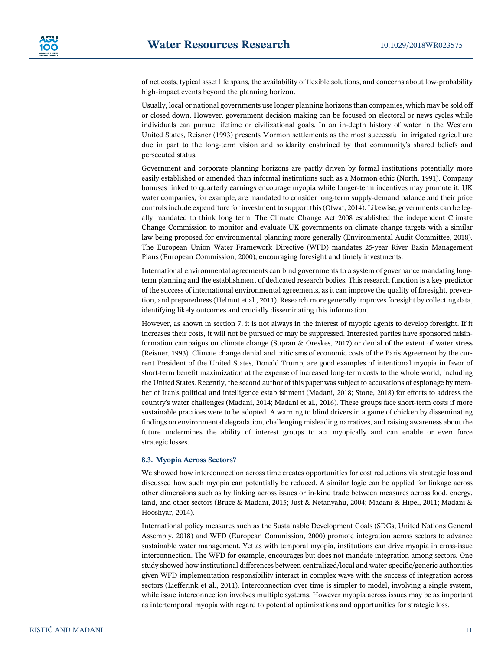of net costs, typical asset life spans, the availability of flexible solutions, and concerns about low‐probability high‐impact events beyond the planning horizon.

Usually, local or national governments use longer planning horizons than companies, which may be sold off or closed down. However, government decision making can be focused on electoral or news cycles while individuals can pursue lifetime or civilizational goals. In an in‐depth history of water in the Western United States, Reisner (1993) presents Mormon settlements as the most successful in irrigated agriculture due in part to the long‐term vision and solidarity enshrined by that community's shared beliefs and persecuted status.

Government and corporate planning horizons are partly driven by formal institutions potentially more easily established or amended than informal institutions such as a Mormon ethic (North, 1991). Company bonuses linked to quarterly earnings encourage myopia while longer-term incentives may promote it. UK water companies, for example, are mandated to consider long-term supply-demand balance and their price controls include expenditure for investment to support this (Ofwat, 2014). Likewise, governments can be legally mandated to think long term. The Climate Change Act 2008 established the independent Climate Change Commission to monitor and evaluate UK governments on climate change targets with a similar law being proposed for environmental planning more generally (Environmental Audit Committee, 2018). The European Union Water Framework Directive (WFD) mandates 25‐year River Basin Management Plans (European Commission, 2000), encouraging foresight and timely investments.

International environmental agreements can bind governments to a system of governance mandating long‐ term planning and the establishment of dedicated research bodies. This research function is a key predictor of the success of international environmental agreements, as it can improve the quality of foresight, prevention, and preparedness (Helmut et al., 2011). Research more generally improves foresight by collecting data, identifying likely outcomes and crucially disseminating this information.

However, as shown in section 7, it is not always in the interest of myopic agents to develop foresight. If it increases their costs, it will not be pursued or may be suppressed. Interested parties have sponsored misinformation campaigns on climate change (Supran & Oreskes, 2017) or denial of the extent of water stress (Reisner, 1993). Climate change denial and criticisms of economic costs of the Paris Agreement by the current President of the United States, Donald Trump, are good examples of intentional myopia in favor of short-term benefit maximization at the expense of increased long-term costs to the whole world, including the United States. Recently, the second author of this paper was subject to accusations of espionage by member of Iran's political and intelligence establishment (Madani, 2018; Stone, 2018) for efforts to address the country's water challenges (Madani, 2014; Madani et al., 2016). These groups face short-term costs if more sustainable practices were to be adopted. A warning to blind drivers in a game of chicken by disseminating findings on environmental degradation, challenging misleading narratives, and raising awareness about the future undermines the ability of interest groups to act myopically and can enable or even force strategic losses.

#### **8.3. Myopia Across Sectors?**

We showed how interconnection across time creates opportunities for cost reductions via strategic loss and discussed how such myopia can potentially be reduced. A similar logic can be applied for linkage across other dimensions such as by linking across issues or in‐kind trade between measures across food, energy, land, and other sectors (Bruce & Madani, 2015; Just & Netanyahu, 2004; Madani & Hipel, 2011; Madani & Hooshyar, 2014).

International policy measures such as the Sustainable Development Goals (SDGs; United Nations General Assembly, 2018) and WFD (European Commission, 2000) promote integration across sectors to advance sustainable water management. Yet as with temporal myopia, institutions can drive myopia in cross-issue interconnection. The WFD for example, encourages but does not mandate integration among sectors. One study showed how institutional differences between centralized/local and water‐specific/generic authorities given WFD implementation responsibility interact in complex ways with the success of integration across sectors (Liefferink et al., 2011). Interconnection over time is simpler to model, involving a single system, while issue interconnection involves multiple systems. However myopia across issues may be as important as intertemporal myopia with regard to potential optimizations and opportunities for strategic loss.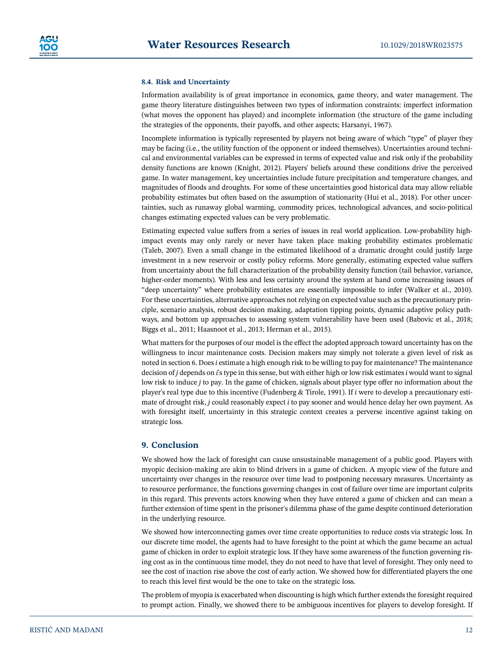#### **8.4. Risk and Uncertainty**

Information availability is of great importance in economics, game theory, and water management. The game theory literature distinguishes between two types of information constraints: imperfect information (what moves the opponent has played) and incomplete information (the structure of the game including the strategies of the opponents, their payoffs, and other aspects; Harsanyi, 1967).

Incomplete information is typically represented by players not being aware of which "type" of player they may be facing (i.e., the utility function of the opponent or indeed themselves). Uncertainties around technical and environmental variables can be expressed in terms of expected value and risk only if the probability density functions are known (Knight, 2012). Players' beliefs around these conditions drive the perceived game. In water management, key uncertainties include future precipitation and temperature changes, and magnitudes of floods and droughts. For some of these uncertainties good historical data may allow reliable probability estimates but often based on the assumption of stationarity (Hui et al., 2018). For other uncertainties, such as runaway global warming, commodity prices, technological advances, and socio‐political changes estimating expected values can be very problematic.

Estimating expected value suffers from a series of issues in real world application. Low-probability highimpact events may only rarely or never have taken place making probability estimates problematic (Taleb, 2007). Even a small change in the estimated likelihood of a dramatic drought could justify large investment in a new reservoir or costly policy reforms. More generally, estimating expected value suffers from uncertainty about the full characterization of the probability density function (tail behavior, variance, higher-order moments). With less and less certainty around the system at hand come increasing issues of "deep uncertainty" where probability estimates are essentially impossible to infer (Walker et al., 2010). For these uncertainties, alternative approaches not relying on expected value such as the precautionary principle, scenario analysis, robust decision making, adaptation tipping points, dynamic adaptive policy pathways, and bottom up approaches to assessing system vulnerability have been used (Babovic et al., 2018; Biggs et al., 2011; Haasnoot et al., 2013; Herman et al., 2015).

What matters for the purposes of our model is the effect the adopted approach toward uncertainty has on the willingness to incur maintenance costs. Decision makers may simply not tolerate a given level of risk as noted in section 6. Does*i* estimate a high enough risk to be willing to pay for maintenance? The maintenance decision of *j* depends on *i*'s type in this sense, but with either high or low risk estimates *i* would want to signal low risk to induce *j* to pay. In the game of chicken, signals about player type offer no information about the player's real type due to this incentive (Fudenberg & Tirole, 1991). If *i* were to develop a precautionary estimate of drought risk, *j* could reasonably expect *i* to pay sooner and would hence delay her own payment. As with foresight itself, uncertainty in this strategic context creates a perverse incentive against taking on strategic loss.

# **9. Conclusion**

We showed how the lack of foresight can cause unsustainable management of a public good. Players with myopic decision‐making are akin to blind drivers in a game of chicken. A myopic view of the future and uncertainty over changes in the resource over time lead to postponing necessary measures. Uncertainty as to resource performance, the functions governing changes in cost of failure over time are important culprits in this regard. This prevents actors knowing when they have entered a game of chicken and can mean a further extension of time spent in the prisoner's dilemma phase of the game despite continued deterioration in the underlying resource.

We showed how interconnecting games over time create opportunities to reduce costs via strategic loss. In our discrete time model, the agents had to have foresight to the point at which the game became an actual game of chicken in order to exploit strategic loss. If they have some awareness of the function governing rising cost as in the continuous time model, they do not need to have that level of foresight. They only need to see the cost of inaction rise above the cost of early action. We showed how for differentiated players the one to reach this level first would be the one to take on the strategic loss.

The problem of myopia is exacerbated when discounting is high which further extends the foresight required to prompt action. Finally, we showed there to be ambiguous incentives for players to develop foresight. If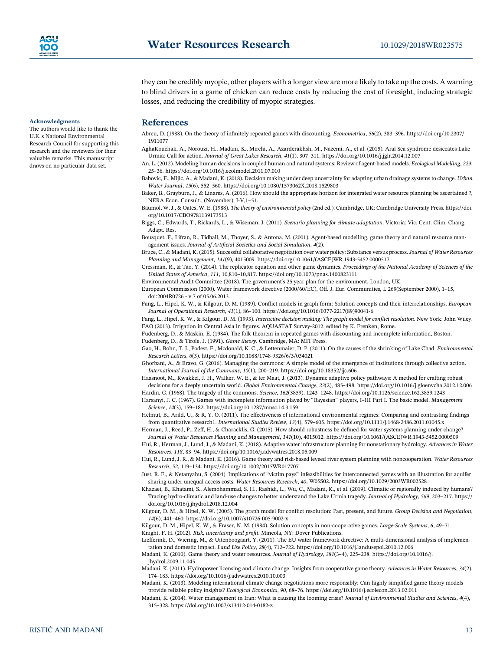**Acknowledgments**

The authors would like to thank the U.K.'s National Environmental Research Council for supporting this research and the reviewers for their valuable remarks. This manuscript draws on no particular data set.

# they can be credibly myopic, other players with a longer view are more likely to take up the costs. A warning to blind drivers in a game of chicken can reduce costs by reducing the cost of foresight, inducing strategic losses, and reducing the credibility of myopic strategies.

#### **References**

Abreu, D. (1988). On the theory of infinitely repeated games with discounting. *Econometrica*, *56*(2), 383–396. [https://doi.org/10.2307/](https://doi.org/10.2307/1911077) [1911077](https://doi.org/10.2307/1911077)

AghaKouchak, A., Norouzi, H., Madani, K., Mirchi, A., Azarderakhsh, M., Nazemi, A., et al. (2015). Aral Sea syndrome desiccates Lake Urmia: Call for action. *Journal of Great Lakes Research*, *41*(1), 307–311.<https://doi.org/10.1016/j.jglr.2014.12.007>

An, L. (2012). Modeling human decisions in coupled human and natural systems: Review of agent‐based models. *Ecological Modelling*, *229*, 25–36.<https://doi.org/10.1016/j.ecolmodel.2011.07.010>

Babovic, F., Mijic, A., & Madani, K. (2018). Decision making under deep uncertainty for adapting urban drainage systems to change. *Urban Water Journal*, *15*(6), 552–560.<https://doi.org/10.1080/1573062X.2018.1529803>

Baker, B., Grayburn, J., & Linares, A. (2016). How should the appropriate horizon for integrated water resource planning be ascertained ?, NERA Econ. Consult., (November), I‐V,1–51.

Baumol, W. J., & Oates, W. E. (1988). *The theory of environmental policy* (2nd ed.). Cambridge, UK: Cambridge University Press. [https://doi.](https://doi.org/10.1017/CBO9781139173513) [org/10.1017/CBO9781139173513](https://doi.org/10.1017/CBO9781139173513)

Biggs, C., Edwards, T., Rickards, L., & Wiseman, J. (2011). *Scenario planning for climate adaptation*. Victoria: Vic. Cent. Clim. Chang. Adapt. Res.

Bousquet, F., Lifran, R., Tidball, M., Thoyer, S., & Antona, M. (2001). Agent‐based modelling, game theory and natural resource management issues. *Journal of Artificial Societies and Social Simulation*, *4*(2).

Bruce, C., & Madani, K. (2015). Successful collaborative negotiation over water policy: Substance versus process. *Journal of Water Resources Planning and Management*, *141*(9), 4015009. [https://doi.org/10.1061/\(ASCE\)WR.1943](https://doi.org/10.1061/(ASCE)WR.1943-5452.0000517)‐5452.0000517

Cressman, R., & Tao, Y. (2014). The replicator equation and other game dynamics. *Proceedings of the National Academy of Sciences of the United States of America*, *111*, 10,810–10,817.<https://doi.org/10.1073/pnas.1400823111>

Environmental Audit Committee (2018). The government's 25 year plan for the environment, London, UK.

European Commission (2000). Water framework directive (2000/60/EC), Off. J. Eur. Communities, L 269(September 2000), 1–15, doi:2004R0726 ‐ v.7 of 05.06.2013.

Fang, L., Hipel, K. W., & Kilgour, D. M. (1989). Conflict models in graph form: Solution concepts and their interrelationships. *European Journal of Operational Research*, *41*(1), 86–100. [https://doi.org/10.1016/0377](https://doi.org/10.1016/0377-2217(89)90041-6)‐2217(89)90041‐6

Fang, L., Hipel, K. W., & Kilgour, D. M. (1993). *Interactive decision making: The graph model for conflict resolution*. New York: John Wiley. FAO (2013). Irrigation in Central Asia in figures. AQUASTAT Survey‐2012, edited by K. Frenken, Rome.

Fudenberg, D., & Maskin, E. (1984). The folk theorem in repeated games with discounting and incomplete information, Boston. Fudenberg, D., & Tirole, J. (1991). *Game theory*. Cambridge, MA: MIT Press.

Gao, H., Bohn, T. J., Podest, E., Mcdonald, K. C., & Lettenmaier, D. P. (2011). On the causes of the shrinking of Lake Chad. *Environmental Research Letters*, *6*(3). [https://doi.org/10.1088/1748](https://doi.org/10.1088/1748-9326/6/3/034021)‐9326/6/3/034021

Ghorbani, A., & Bravo, G. (2016). Managing the commons: A simple model of the emergence of institutions through collective action. *International Journal of the Commons*, *10*(1), 200–219.<https://doi.org/10.18352/ijc.606>

Haasnoot, M., Kwakkel, J. H., Walker, W. E., & ter Maat, J. (2013). Dynamic adaptive policy pathways: A method for crafting robust decisions for a deeply uncertain world. *Global Environmental Change*, *23*(2), 485–498.<https://doi.org/10.1016/j.gloenvcha.2012.12.006>

Hardin, G. (1968). The tragedy of the commons. *Science*, *162*(3859), 1243–1248.<https://doi.org/10.1126/science.162.3859.1243> Harsanyi, J. C. (1967). Games with incomplete information played by "Bayesian" players, I–III Part I. The basic model. *Management Science*, *14*(3), 159–182.<https://doi.org/10.1287/mnsc.14.3.159>

Helmut, B., Arild, U., & R, Y. O. (2011). The effectiveness of international environmental regimes: Comparing and contrasting findings from quantitative research1. *International Studies Review*, *13*(4), 579–605. [https://doi.org/10.1111/j.1468](https://doi.org/10.1111/j.1468-2486.2011.01045.x)‐2486.2011.01045.x

Herman, J., Reed, P., Zeff, H., & Characklis, G. (2015). How should robustness be defined for water systems planning under change? *Journal of Water Resources Planning and Management*, *141*(10), 4015012. [https://doi.org/10.1061/\(ASCE\)WR.1943](https://doi.org/10.1061/(ASCE)WR.1943-5452.0000509)‐5452.0000509

Hui, R., Herman, J., Lund, J., & Madani, K. (2018). Adaptive water infrastructure planning for nonstationary hydrology. *Advances in Water Resources*, *118*, 83–94.<https://doi.org/10.1016/j.advwatres.2018.05.009>

Hui, R., Lund, J. R., & Madani, K. (2016). Game theory and risk‐based leveed river system planning with noncooperation. *Water Resources Research*, *52*, 119–134.<https://doi.org/10.1002/2015WR017707>

Just, R. E., & Netanyahu, S. (2004). Implications of "victim pays" infeasibilities for interconnected games with an illustration for aquifer sharing under unequal access costs. *Water Resources Research*, *40*, W05S02.<https://doi.org/10.1029/2003WR002528>

Khazaei, B., Khatami, S., Alemohammad, S. H., Rashidi, L., Wu, C., Madani, K., et al. (2019). Climatic or regionally induced by humans? Tracing hydro‐climatic and land‐use changes to better understand the Lake Urmia tragedy. *Journal of Hydrology*, *569*, 203–217. [https://](https://doi.org/10.1016/j.jhydrol.2018.12.004) [doi.org/10.1016/j.jhydrol.2018.12.004](https://doi.org/10.1016/j.jhydrol.2018.12.004)

dol.org/10.1016/J.jhydrol.2018.12.004<br>Kilgour, D. M., & Hipel, K. W. (2005). The graph model for conflict resolution: Past, present, and future. *Group Decision and Negotiation,*<br>14(6), 441–460. https://doi.org/10.1007/s10 14(6), 441–460. [https://doi.org/10.1007/s10726](https://doi.org/10.1007/s10726-005-9002-x)-005-9002-x<br>Kilgour, D. M., Hipel, K. W., & Fraser, N. M. (1984). Solution concepts in non-cooperative games. *Large-Scale Systems*, 6, 49–71.

Knight, F. H. (2012). *Risk, uncertainty and profit*. Mineola, NY: Dover Publications.

Liefferink, D., Wiering, M., & Uitenboogaart, Y. (2011). The EU water framework directive: A multi‐dimensional analysis of implementation and domestic impact. *Land Use Policy*, *28*(4), 712–722.<https://doi.org/10.1016/j.landusepol.2010.12.006>

Madani, K. (2010). Game theory and water resources. *Journal of Hydrology*, *381*(3–4), 225–238. [https://doi.org/10.1016/j.](https://doi.org/10.1016/j.jhydrol.2009.11.045) [jhydrol.2009.11.045](https://doi.org/10.1016/j.jhydrol.2009.11.045)

Madani, K. (2011). Hydropower licensing and climate change: Insights from cooperative game theory. *Advances in Water Resources*, *34*(2), 174–183.<https://doi.org/10.1016/j.advwatres.2010.10.003>

Madani, K. (2013). Modeling international climate change negotiations more responsibly: Can highly simplified game theory models provide reliable policy insights? *Ecological Economics*, *90*, 68–76.<https://doi.org/10.1016/j.ecolecon.2013.02.011>

Madani, K. (2014). Water management in Iran: What is causing the looming crisis? *Journal of Environmental Studies and Sciences*, *4*(4), 315–328. [https://doi.org/10.1007/s13412](https://doi.org/10.1007/s13412-014-0182-z)‐014‐0182‐z